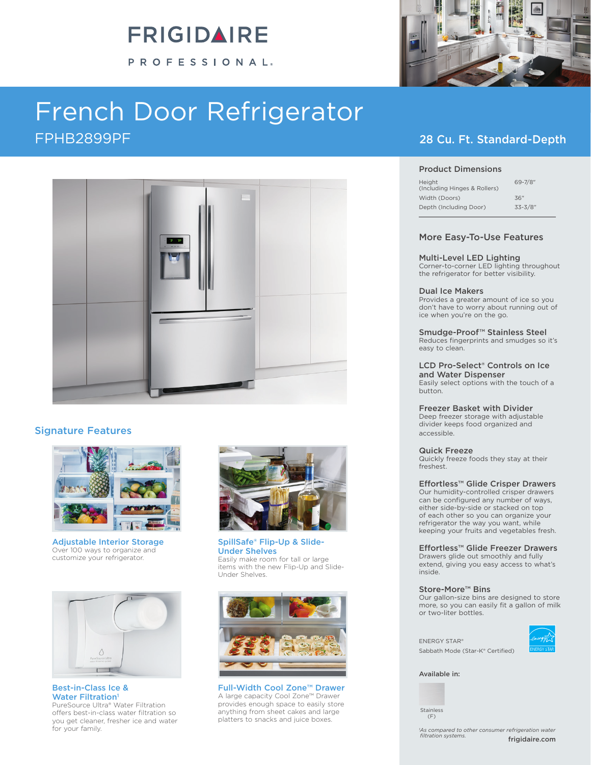# FRIGIDAIRE

PROFESSIONAL®

# French Door Refrigerator FPHB2899PF 28 Cu. Ft. Standard-Depth



### Signature Features



Adjustable Interior Storage Over 100 ways to organize and customize your refrigerator.



Best-in-Class Ice & Water Filtration<sup>1</sup> PureSource Ultra® Water Filtration offers best-in-class water filtration so you get cleaner, fresher ice and water for your family.



SpillSafe® Flip-Up & Slide-Under Shelves Easily make room for tall or large items with the new Flip-Up and Slide-Under Shelves.



Full-Width Cool Zone™ Drawer A large capacity Cool Zone™ Drawer provides enough space to easily store anything from sheet cakes and large platters to snacks and juice boxes.



#### Product Dimensions

| Height<br>(Including Hinges & Rollers) | $69 - 7/8$ " |
|----------------------------------------|--------------|
| Width (Doors)                          | 36"          |
| Depth (Including Door)                 | $33 - 3/8"$  |

#### More Easy-To-Use Features

#### Multi-Level LED Lighting

Corner-to-corner LED lighting throughout the refrigerator for better visibility.

#### Dual Ice Makers

Provides a greater amount of ice so you don't have to worry about running out of ice when you're on the go.

Smudge-Proof<sup>™</sup> Stainless Steel<br>Reduces fingerprints and smudges so it's easy to clean.

### LCD Pro-Select® Controls on Ice and Water Dispenser

Easily select options with the touch of a button.

#### Freezer Basket with Divider

Deep freezer storage with adjustable divider keeps food organized and accessible.

#### Quick Freeze

Quickly freeze foods they stay at their freshest.

#### Effortless™ Glide Crisper Drawers

Our humidity-controlled crisper drawers can be configured any number of ways, either side-by-side or stacked on top of each other so you can organize your refrigerator the way you want, while keeping your fruits and vegetables fresh.

#### Effortless™ Glide Freezer Drawers

Drawers glide out smoothly and fully extend, giving you easy access to what's inside.

#### Store-More™ Bins

Our gallon-size bins are designed to store more, so you can easily fit a gallon of milk or two-liter bottles.



ENERGY STAR® Sabbath Mode (Star-K® Certified)

Available in:

Stainless (F)

frigidaire.com *1 As compared to other consumer refrigeration water filtration systems.*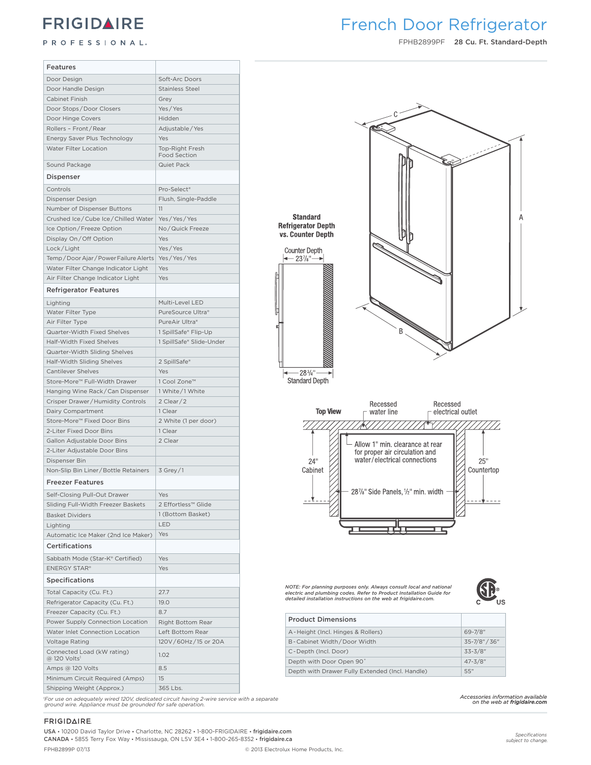## **FRIGIDAIRE**

### PROFESSIONAL.

### **Frigidaire Professional** French Door Refrigerator

FPHB2899PF 28 Cu. Ft. Standard-Depth

| <b>Features</b>                                         |                            |                                                                                                                                             |
|---------------------------------------------------------|----------------------------|---------------------------------------------------------------------------------------------------------------------------------------------|
| Door Design                                             | Soft-Arc Doors             |                                                                                                                                             |
| Door Handle Design                                      | <b>Stainless Steel</b>     |                                                                                                                                             |
| Cabinet Finish                                          | Grey                       |                                                                                                                                             |
| Door Stops/Door Closers                                 | Yes/Yes                    |                                                                                                                                             |
| Door Hinge Covers                                       | Hidden                     |                                                                                                                                             |
| Rollers - Front/Rear                                    | Adjustable / Yes           |                                                                                                                                             |
| Energy Saver Plus Technology                            | Yes                        |                                                                                                                                             |
| Water Filter Location                                   | Top-Right Fresh            |                                                                                                                                             |
| Sound Package                                           | Food Section<br>Quiet Pack |                                                                                                                                             |
|                                                         |                            |                                                                                                                                             |
| Dispenser                                               |                            |                                                                                                                                             |
| Controls                                                | Pro-Select <sup>®</sup>    |                                                                                                                                             |
| Dispenser Design                                        | Flush, Single-Paddle       |                                                                                                                                             |
| Number of Dispenser Buttons                             | 11                         | <b>Standard</b>                                                                                                                             |
| Crushed Ice/Cube Ice/Chilled Water   Yes/Yes/Yes        |                            | <b>Refrigerator Depth</b>                                                                                                                   |
| Ice Option/Freeze Option                                | No/Quick Freeze            | vs. Counter Depth                                                                                                                           |
| Display On/Off Option                                   | Yes                        |                                                                                                                                             |
| Lock/Light                                              | Yes/Yes                    | <b>Counter Depth</b>                                                                                                                        |
| Temp / Door Ajar / Power Failure Alerts Yes / Yes / Yes |                            | $-23\%$ "-                                                                                                                                  |
| Water Filter Change Indicator Light                     | Yes                        |                                                                                                                                             |
| Air Filter Change Indicator Light                       | Yes                        |                                                                                                                                             |
| <b>Refrigerator Features</b>                            |                            |                                                                                                                                             |
| Lighting                                                | Multi-Level LED            |                                                                                                                                             |
| Water Filter Type                                       | PureSource Ultra®          |                                                                                                                                             |
| Air Filter Type                                         | PureAir Ultra®             |                                                                                                                                             |
| Quarter-Width Fixed Shelves                             | 1 SpillSafe® Flip-Up       | B                                                                                                                                           |
| Half-Width Fixed Shelves                                | 1 SpillSafe® Slide-Under   |                                                                                                                                             |
| Quarter-Width Sliding Shelves                           |                            |                                                                                                                                             |
| Half-Width Sliding Shelves                              | 2 SpillSafe®               |                                                                                                                                             |
| <b>Cantilever Shelves</b>                               | Yes                        | $-28^{3}/4"$                                                                                                                                |
| Store-More™ Full-Width Drawer                           | 1 Cool Zone™               | <b>Standard Depth</b>                                                                                                                       |
| Hanging Wine Rack/Can Dispenser                         | 1 White/1 White            |                                                                                                                                             |
| Crisper Drawer/Humidity Controls                        | $2$ Clear $/2$             | Recessed<br>Recessed                                                                                                                        |
| Dairy Compartment                                       | 1 Clear                    | <b>Top View</b><br>electrical outlet<br>water line                                                                                          |
| Store-More™ Fixed Door Bins                             | 2 White (1 per door)       |                                                                                                                                             |
| 2-Liter Fixed Door Bins                                 | 1 Clear                    |                                                                                                                                             |
| Gallon Adjustable Door Bins                             | 2 Clear                    | Allow 1" min. clearance at rear                                                                                                             |
| 2-Liter Adjustable Door Bins                            |                            | for proper air circulation and                                                                                                              |
| Dispenser Bin                                           |                            | water/electrical connections<br>25"<br>24"                                                                                                  |
| Non-Slip Bin Liner / Bottle Retainers                   | $3$ Grey / 1               | Countertop<br>Cabinet                                                                                                                       |
| <b>Freezer Features</b>                                 |                            |                                                                                                                                             |
| Self-Closing Pull-Out Drawer                            | Yes                        | 287/8" Side Panels, 1/2" min. width                                                                                                         |
| Sliding Full-Width Freezer Baskets                      | 2 Effortless™ Glide        |                                                                                                                                             |
| <b>Basket Dividers</b>                                  | 1 (Bottom Basket)          |                                                                                                                                             |
| Lighting                                                | LED                        |                                                                                                                                             |
| Automatic Ice Maker (2nd Ice Maker)                     | Yes                        |                                                                                                                                             |
| <b>Certifications</b>                                   |                            |                                                                                                                                             |
| Sabbath Mode (Star-K® Certified)                        | Yes                        |                                                                                                                                             |
| <b>ENERGY STAR®</b>                                     | Yes                        |                                                                                                                                             |
| <b>Specifications</b>                                   |                            |                                                                                                                                             |
| Total Capacity (Cu. Ft.)                                | 27.7                       | NOTE: For planning purposes only. Always consult local and national<br>electric and plumbing codes. Refer to Product Installation Guide for |
| Refrigerator Capacity (Cu. Ft.)                         | 19.0                       | detailed installation instructions on the web at frigidaire.com.                                                                            |
| Freezer Capacity (Cu. Ft.)                              | 8.7                        |                                                                                                                                             |
| Power Supply Connection Location                        |                            | <b>Product Dimensions</b>                                                                                                                   |
|                                                         | Right Bottom Rear          | 69-7/8"<br>A-Height (Incl. Hinges & Rollers)                                                                                                |
| Water Inlet Connection Location                         | Left Bottom Rear           |                                                                                                                                             |
| Voltage Rating                                          | 120V/60Hz/15 or 20A        | 35-7/8" / 36"<br>B-Cabinet Width/Door Width                                                                                                 |
| Connected Load (kW rating)<br>@ 120 Volts <sup>1</sup>  | 1.02                       | $33 - 3/8"$<br>C-Depth (Incl. Door)                                                                                                         |
| Amps @ 120 Volts                                        | 8.5                        | Depth with Door Open 90°<br>$47 - 3/8"$                                                                                                     |
| Minimum Circuit Required (Amps)                         | 15                         | Depth with Drawer Fully Extended (Incl. Handle)<br>55"                                                                                      |
| Shipping Weight (Approx.)                               |                            |                                                                                                                                             |
|                                                         | 365 Lbs.                   |                                                                                                                                             |

**FRIGIDAIRE** 

USA • 10200 David Taylor Drive • Charlotte, NC 28262 • 1-800-FRIGIDAIRE • frigidaire.com CANADA • 5855 Terry Fox Way • Mississauga, ON L5V 3E4 • 1-800-265-8352 • frigidaire.ca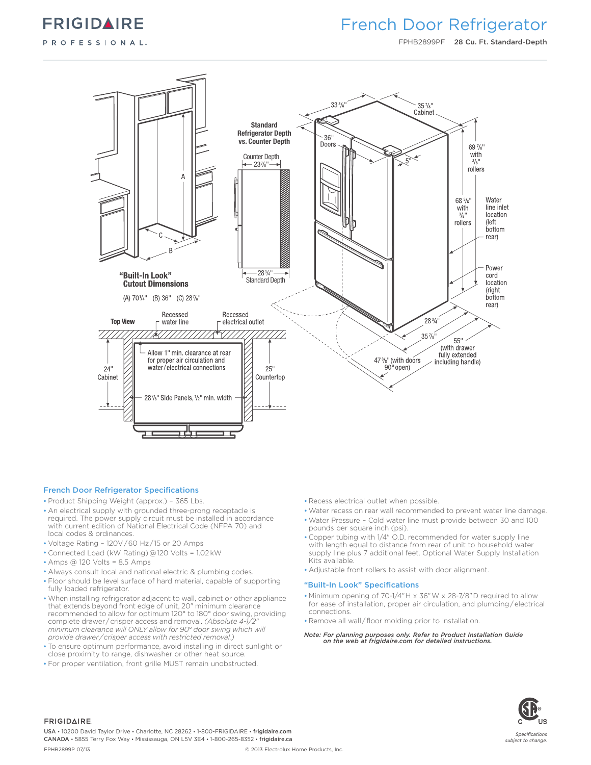

### French Door Refrigerator

FPHB2899PF 28 Cu. Ft. Standard-Depth



#### French Door Refrigerator Specifications

- Product Shipping Weight (approx.) 365 Lbs.
- An electrical supply with grounded three-prong receptacle is required. The power supply circuit must be installed in accordance with current edition of National Electrical Code (NFPA 70) and local codes & ordinances.
- Voltage Rating 120V / 60 Hz / 15 or 20 Amps
- Connected Load (kW Rating) @ 120 Volts = 1.02 kW
- Amps @ 120 Volts = 8.5 Amps
- Always consult local and national electric & plumbing codes.
- Floor should be level surface of hard material, capable of supporting fully loaded refrigerator.
- When installing refrigerator adjacent to wall, cabinet or other appliance that extends beyond front edge of unit, 20" minimum clearance recommended to allow for optimum 120° to 180° door swing, providing complete drawer/crisper access and removal. *(Absolute 4-1/2004) minimum clearance will ONLY allow for 90° door swing which will provide drawer / crisper access with restricted removal.)*
- To ensure optimum performance, avoid installing in direct sunlight or close proximity to range, dishwasher or other heat source.
- For proper ventilation, front grille MUST remain unobstructed.
- Recess electrical outlet when possible.
- Water recess on rear wall recommended to prevent water line damage.
- Water Pressure Cold water line must provide between 30 and 100 pounds per square inch (psi).
- Copper tubing with 1/4" O.D. recommended for water supply line with length equal to distance from rear of unit to household water supply line plus 7 additional feet. Optional Water Supply Installation Kits available.
- Adjustable front rollers to assist with door alignment.

#### "Built-In Look" Specifications

- Minimum opening of 70-1/4" H x 36" W x 28-7/8" D required to allow for ease of installation, proper air circulation, and plumbing / electrical connections.
- Remove all wall / floor molding prior to installation.
- *Note: For planning purposes only. Refer to Product Installation Guide on the web at frigidaire.com for detailed instructions.*



#### **FRIGIDAIRE**

USA • 10200 David Taylor Drive • Charlotte, NC 28262 • 1-800-FRIGIDAIRE • frigidaire.com CANADA • 5855 Terry Fox Way • Mississauga, ON L5V 3E4 • 1-800-265-8352 • frigidaire.ca